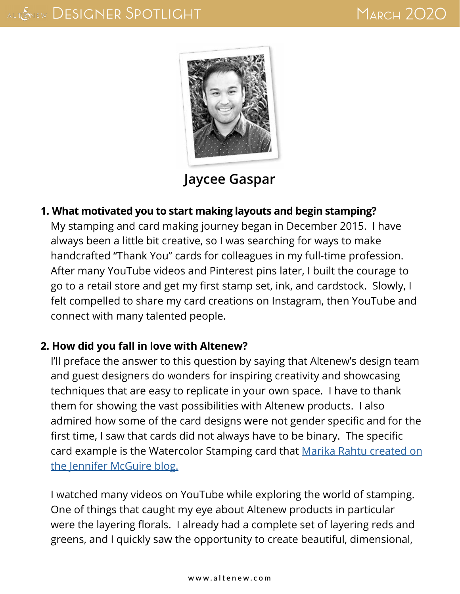

**[Jaycee Gaspar](https://jgaultier.wordpress.com/)**

**1. What motivated you to start making layouts and begin stamping?** My stamping and card making journey began in December 2015. I have always been a little bit creative, so I was searching for ways to make handcrafted "Thank You" cards for colleagues in my full-time profession. After many YouTube videos and Pinterest pins later, I built the courage to go to a retail store and get my first stamp set, ink, and cardstock. Slowly, I felt compelled to share my card creations on Instagram, then YouTube and connect with many talented people.

#### **2. How did you fall in love with Altenew?**

I'll preface the answer to this question by saying that Altenew's design team and guest designers do wonders for inspiring creativity and showcasing techniques that are easy to replicate in your own space. I have to thank them for showing the vast possibilities with Altenew products. I also admired how some of the card designs were not gender specific and for the first time, I saw that cards did not always have to be binary. The specific card example is the Watercolor Stamping card that [Marika Rahtu created on](https://www.jennifermcguireink.com/2016/04/marika.html) [the Jennifer McGuire blog.](https://www.jennifermcguireink.com/2016/04/marika.html)

I watched many videos on YouTube while exploring the world of stamping. One of things that caught my eye about Altenew products in particular were the layering florals. I already had a complete set of layering reds and greens, and I quickly saw the opportunity to create beautiful, dimensional,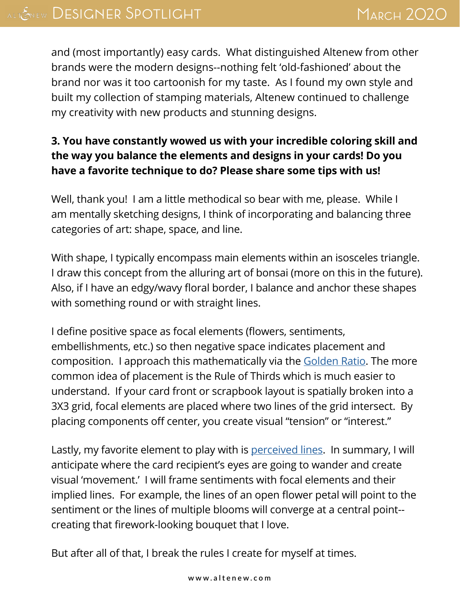and (most importantly) easy cards. What distinguished Altenew from other brands were the modern designs--nothing felt 'old-fashioned' about the brand nor was it too cartoonish for my taste. As I found my own style and built my collection of stamping materials, Altenew continued to challenge my creativity with new products and stunning designs.

# **3. You have constantly wowed us with your incredible coloring skill and the way you balance the elements and designs in your cards! Do you have a favorite technique to do? Please share some tips with us!**

Well, thank you! I am a little methodical so bear with me, please. While I am mentally sketching designs, I think of incorporating and balancing three categories of art: shape, space, and line.

With shape, I typically encompass main elements within an isosceles triangle. I draw this concept from the alluring art of bonsai (more on this in the future). Also, if I have an edgy/wavy floral border, I balance and anchor these shapes with something round or with straight lines.

I define positive space as focal elements (flowers, sentiments, embellishments, etc.) so then negative space indicates placement and composition. I approach this mathematically via the [Golden Ratio.](https://jgaultier.wordpress.com/2019/08/08/altenew-august-2019-stamp-die-stencil-release-blog-hop-giveaway/) The more common idea of placement is the Rule of Thirds which is much easier to understand. If your card front or scrapbook layout is spatially broken into a 3X3 grid, focal elements are placed where two lines of the grid intersect. By placing components off center, you create visual "tension" or "interest."

Lastly, my favorite element to play with is [perceived lines.](https://jgaultier.wordpress.com/2019/08/01/altenew-build-a-flower-bellflower-release-blog-hop-giveaway/) In summary, I will anticipate where the card recipient's eyes are going to wander and create visual 'movement.' I will frame sentiments with focal elements and their implied lines. For example, the lines of an open flower petal will point to the sentiment or the lines of multiple blooms will converge at a central point- creating that firework-looking bouquet that I love.

But after all of that, I break the rules I create for myself at times.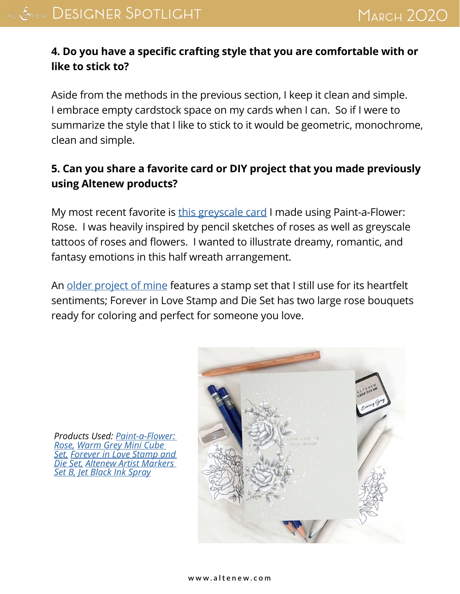# **4. Do you have a specific crafting style that you are comfortable with or like to stick to?**

Aside from the methods in the previous section, I keep it clean and simple. I embrace empty cardstock space on my cards when I can. So if I were to summarize the style that I like to stick to it would be geometric, monochrome, clean and simple.

# **5. Can you share a favorite card or DIY project that you made previously using Altenew products?**

My most recent favorite is [this greyscale card](https://jgaultier.wordpress.com/2020/02/22/altenew-paint-a-flower-rose-release-blog-hop-giveaway-video/) I made using Paint-a-Flower: Rose. I was heavily inspired by pencil sketches of roses as well as greyscale tattoos of roses and flowers. I wanted to illustrate dreamy, romantic, and fantasy emotions in this half wreath arrangement.

An [older project of mine](https://jgaultier.wordpress.com/2019/06/12/altenew-june-2019-stamp-die-stencil-release-blog-hop-giveaway/) features a stamp set that I still use for its heartfelt sentiments; Forever in Love Stamp and Die Set has two large rose bouquets ready for coloring and perfect for someone you love.



*Products Used: [Paint-a-Flower:](https://altenew.com/products/paint-a-flower-rose)  [Rose](https://altenew.com/products/paint-a-flower-rose), [Warm Grey Mini Cube](https://altenew.com/products/warm-gray-mini-set)  [Set,](https://altenew.com/products/warm-gray-mini-set) [Forever in Love Stamp and](https://altenew.com/products/forever-in-love-stamp-die-bundle)  [Die Set](https://altenew.com/products/forever-in-love-stamp-die-bundle), [Altenew Artist Markers](https://altenew.com/products/artist-markers-set-b)  [Set B](https://altenew.com/products/artist-markers-set-b), [Jet Black Ink Spray](https://altenew.com/products/jet-black-ink-spray)*